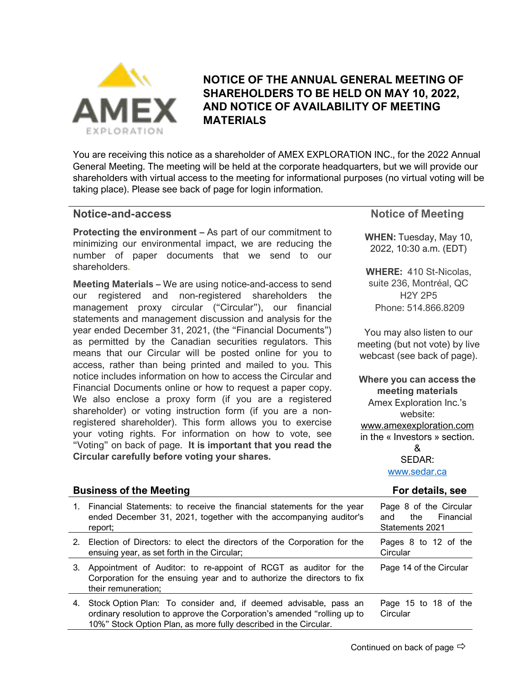

# **NOTICE OF THE ANNUAL GENERAL MEETING OF SHAREHOLDERS TO BE HELD ON MAY 10, 2022, AND NOTICE OF AVAILABILITY OF MEETING MATERIALS**

You are receiving this notice as a shareholder of AMEX EXPLORATION INC., for the 2022 Annual General Meeting. The meeting will be held at the corporate headquarters, but we will provide our shareholders with virtual access to the meeting for informational purposes (no virtual voting will be taking place). Please see back of page for login information.

# **Notice-and-access**

**Protecting the environment –** As part of our commitment to minimizing our environmental impact, we are reducing the number of paper documents that we send to our shareholders**.**

**Meeting Materials –** We are using notice-and-access to send our registered and non-registered shareholders the management proxy circular ("Circular"), our financial statements and management discussion and analysis for the year ended December 31, 2021, (the "Financial Documents") as permitted by the Canadian securities regulators. This means that our Circular will be posted online for you to access, rather than being printed and mailed to you. This notice includes information on how to access the Circular and Financial Documents online or how to request a paper copy. We also enclose a proxy form (if you are a registered shareholder) or voting instruction form (if you are a nonregistered shareholder). This form allows you to exercise your voting rights. For information on how to vote, see "Voting" on back of page. **It is important that you read the Circular carefully before voting your shares.**

# **Notice of Meeting**

**WHEN:** Tuesday, May 10, 2022, 10:30 a.m. (EDT)

**WHERE:** 410 St-Nicolas, suite 236, Montréal, QC H2Y 2P5 Phone: 514.866.8209

You may also listen to our meeting (but not vote) by live webcast (see back of page).

**Where you can access the meeting materials** Amex Exploration Inc.'s website: [www.amexexploration.com](http://www.amexexploration.com/) in the « Investors » section. & SEDAR:

[www.sedar.ca](http://www.sedar.ca/)

#### **Business of the Meeting For details, see** 1. Financial Statements: to receive the financial statements for the year ended December 31, 2021, together with the accompanying auditor's report; Page 8 of the Circular and the Financial Statements 2021 2. Election of Directors: to elect the directors of the Corporation for the ensuing year, as set forth in the Circular; Pages 8 to 12 of the **Circular** 3. Appointment of Auditor: to re-appoint of RCGT as auditor for the Corporation for the ensuing year and to authorize the directors to fix their remuneration; Page 14 of the Circular 4. Stock Option Plan: To consider and, if deemed advisable, pass an ordinary resolution to approve the Corporation's amended "rolling up to 10%" Stock Option Plan, as more fully described in the Circular. Page 15 to 18 of the **Circular**